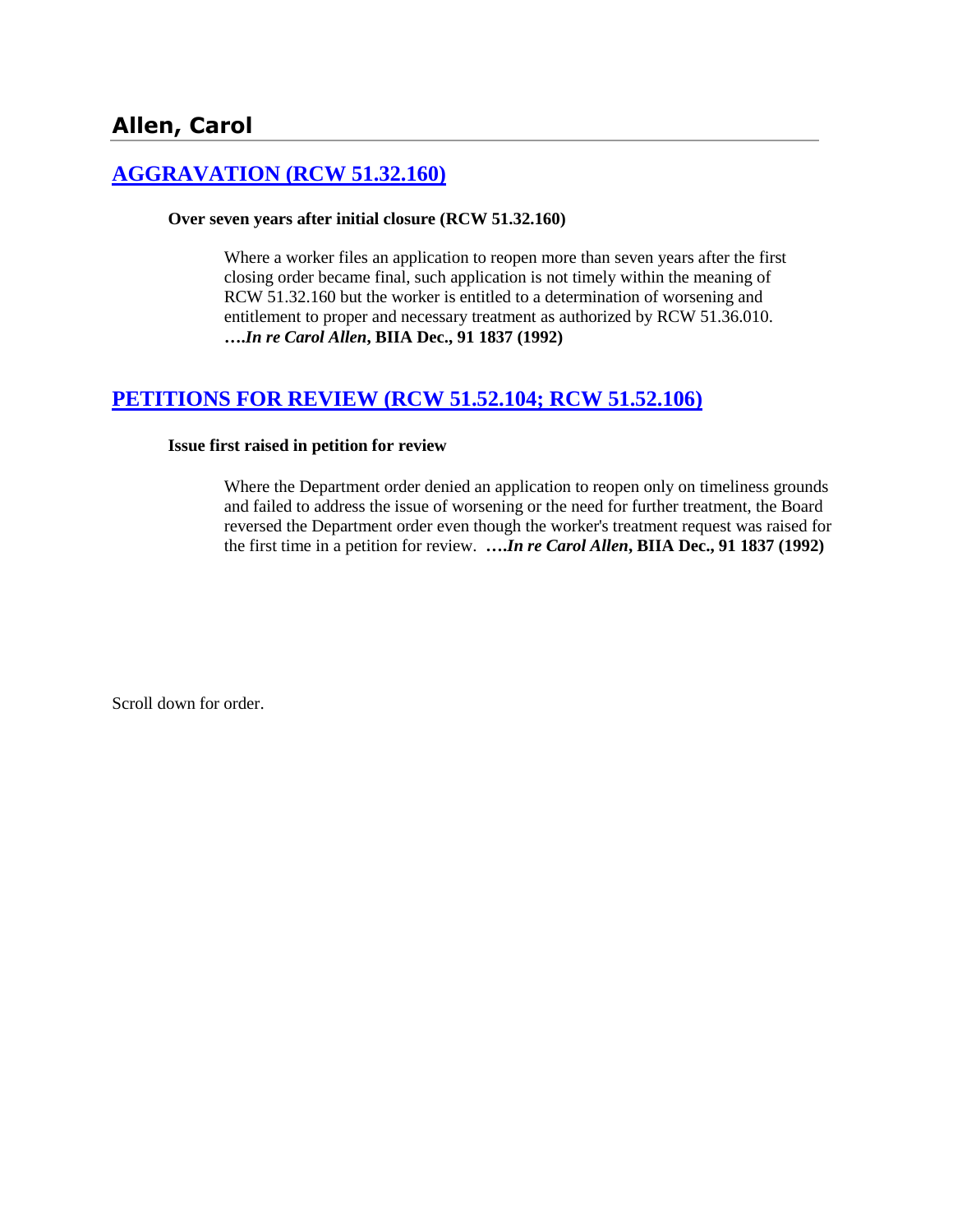# **[AGGRAVATION \(RCW 51.32.160\)](http://www.biia.wa.gov/SDSubjectIndex.html#AGGRAVATION)**

#### **Over seven years after initial closure (RCW 51.32.160)**

Where a worker files an application to reopen more than seven years after the first closing order became final, such application is not timely within the meaning of RCW 51.32.160 but the worker is entitled to a determination of worsening and entitlement to proper and necessary treatment as authorized by RCW 51.36.010. **….***In re Carol Allen***, BIIA Dec., 91 1837 (1992)** 

# **[PETITIONS FOR REVIEW \(RCW 51.52.104; RCW 51.52.106\)](http://www.biia.wa.gov/SDSubjectIndex.html#PETITIONS_FOR_REVIEW)**

#### **Issue first raised in petition for review**

Where the Department order denied an application to reopen only on timeliness grounds and failed to address the issue of worsening or the need for further treatment, the Board reversed the Department order even though the worker's treatment request was raised for the first time in a petition for review. **….***In re Carol Allen***, BIIA Dec., 91 1837 (1992)** 

Scroll down for order.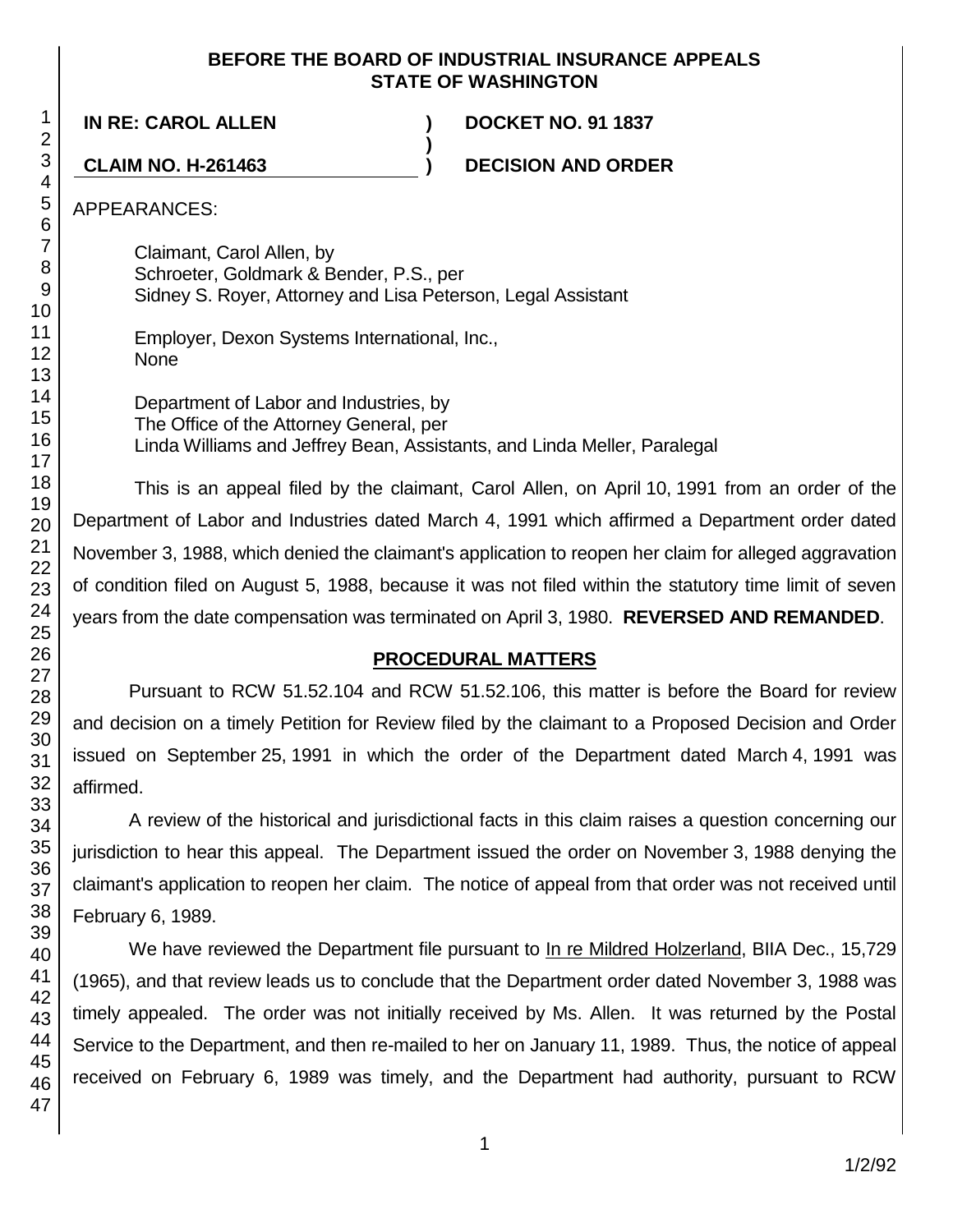## **BEFORE THE BOARD OF INDUSTRIAL INSURANCE APPEALS STATE OF WASHINGTON**

**IN RE: CAROL ALLEN ) DOCKET NO. 91 1837**

**CLAIM NO. H-261463 ) DECISION AND ORDER**

APPEARANCES:

Claimant, Carol Allen, by Schroeter, Goldmark & Bender, P.S., per Sidney S. Royer, Attorney and Lisa Peterson, Legal Assistant

Employer, Dexon Systems International, Inc., None

Department of Labor and Industries, by The Office of the Attorney General, per Linda Williams and Jeffrey Bean, Assistants, and Linda Meller, Paralegal

**)**

This is an appeal filed by the claimant, Carol Allen, on April 10, 1991 from an order of the Department of Labor and Industries dated March 4, 1991 which affirmed a Department order dated November 3, 1988, which denied the claimant's application to reopen her claim for alleged aggravation of condition filed on August 5, 1988, because it was not filed within the statutory time limit of seven years from the date compensation was terminated on April 3, 1980. **REVERSED AND REMANDED**.

# **PROCEDURAL MATTERS**

Pursuant to RCW 51.52.104 and RCW 51.52.106, this matter is before the Board for review and decision on a timely Petition for Review filed by the claimant to a Proposed Decision and Order issued on September 25, 1991 in which the order of the Department dated March 4, 1991 was affirmed.

A review of the historical and jurisdictional facts in this claim raises a question concerning our jurisdiction to hear this appeal. The Department issued the order on November 3, 1988 denying the claimant's application to reopen her claim. The notice of appeal from that order was not received until February 6, 1989.

We have reviewed the Department file pursuant to In re Mildred Holzerland, BIIA Dec., 15,729 (1965), and that review leads us to conclude that the Department order dated November 3, 1988 was timely appealed. The order was not initially received by Ms. Allen. It was returned by the Postal Service to the Department, and then re-mailed to her on January 11, 1989. Thus, the notice of appeal received on February 6, 1989 was timely, and the Department had authority, pursuant to RCW

1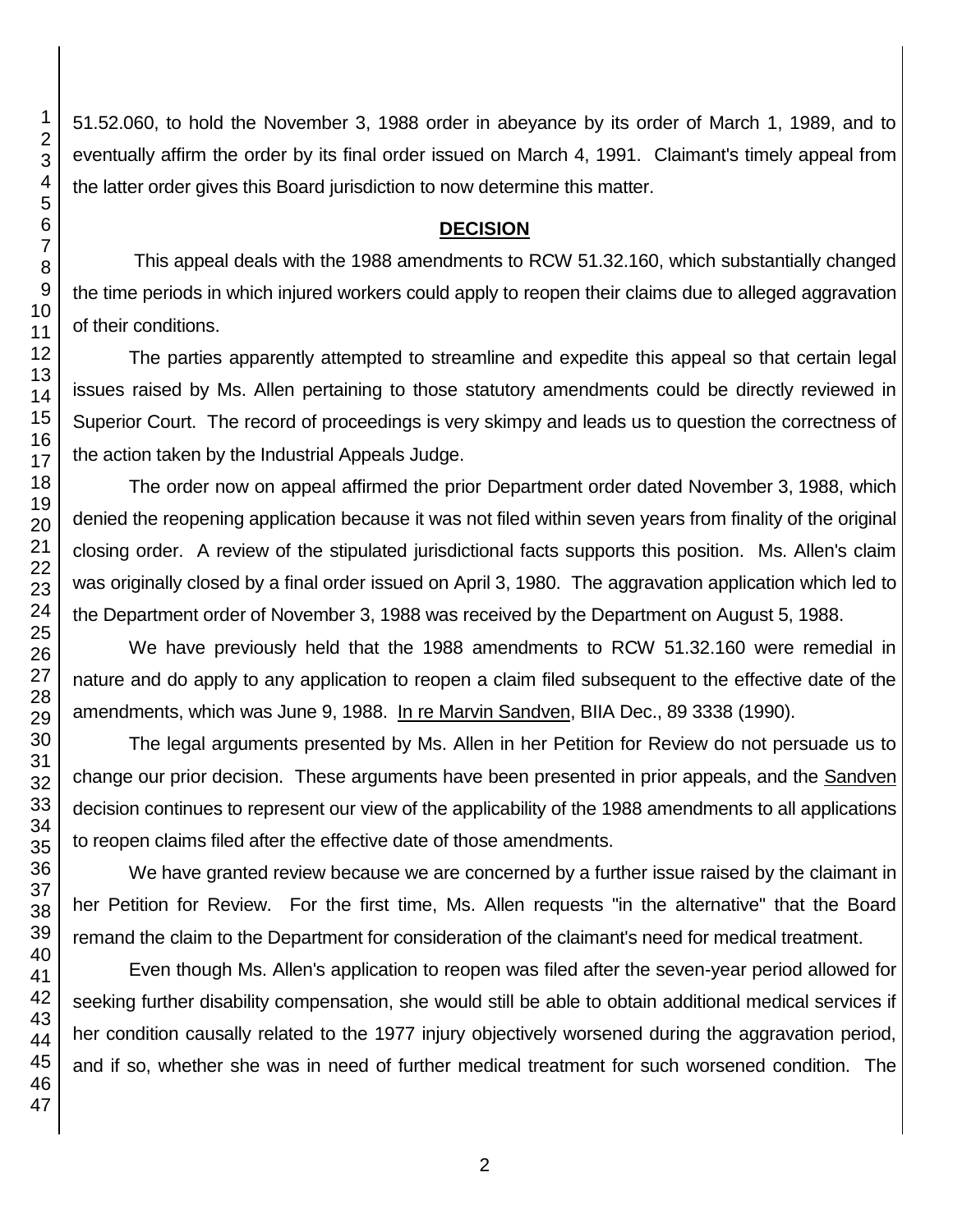51.52.060, to hold the November 3, 1988 order in abeyance by its order of March 1, 1989, and to eventually affirm the order by its final order issued on March 4, 1991. Claimant's timely appeal from the latter order gives this Board jurisdiction to now determine this matter.

## **DECISION**

This appeal deals with the 1988 amendments to RCW 51.32.160, which substantially changed the time periods in which injured workers could apply to reopen their claims due to alleged aggravation of their conditions.

The parties apparently attempted to streamline and expedite this appeal so that certain legal issues raised by Ms. Allen pertaining to those statutory amendments could be directly reviewed in Superior Court. The record of proceedings is very skimpy and leads us to question the correctness of the action taken by the Industrial Appeals Judge.

The order now on appeal affirmed the prior Department order dated November 3, 1988, which denied the reopening application because it was not filed within seven years from finality of the original closing order. A review of the stipulated jurisdictional facts supports this position. Ms. Allen's claim was originally closed by a final order issued on April 3, 1980. The aggravation application which led to the Department order of November 3, 1988 was received by the Department on August 5, 1988.

We have previously held that the 1988 amendments to RCW 51.32.160 were remedial in nature and do apply to any application to reopen a claim filed subsequent to the effective date of the amendments, which was June 9, 1988. In re Marvin Sandven, BIIA Dec., 89 3338 (1990).

The legal arguments presented by Ms. Allen in her Petition for Review do not persuade us to change our prior decision. These arguments have been presented in prior appeals, and the Sandven decision continues to represent our view of the applicability of the 1988 amendments to all applications to reopen claims filed after the effective date of those amendments.

We have granted review because we are concerned by a further issue raised by the claimant in her Petition for Review. For the first time, Ms. Allen requests "in the alternative" that the Board remand the claim to the Department for consideration of the claimant's need for medical treatment.

Even though Ms. Allen's application to reopen was filed after the seven-year period allowed for seeking further disability compensation, she would still be able to obtain additional medical services if her condition causally related to the 1977 injury objectively worsened during the aggravation period, and if so, whether she was in need of further medical treatment for such worsened condition. The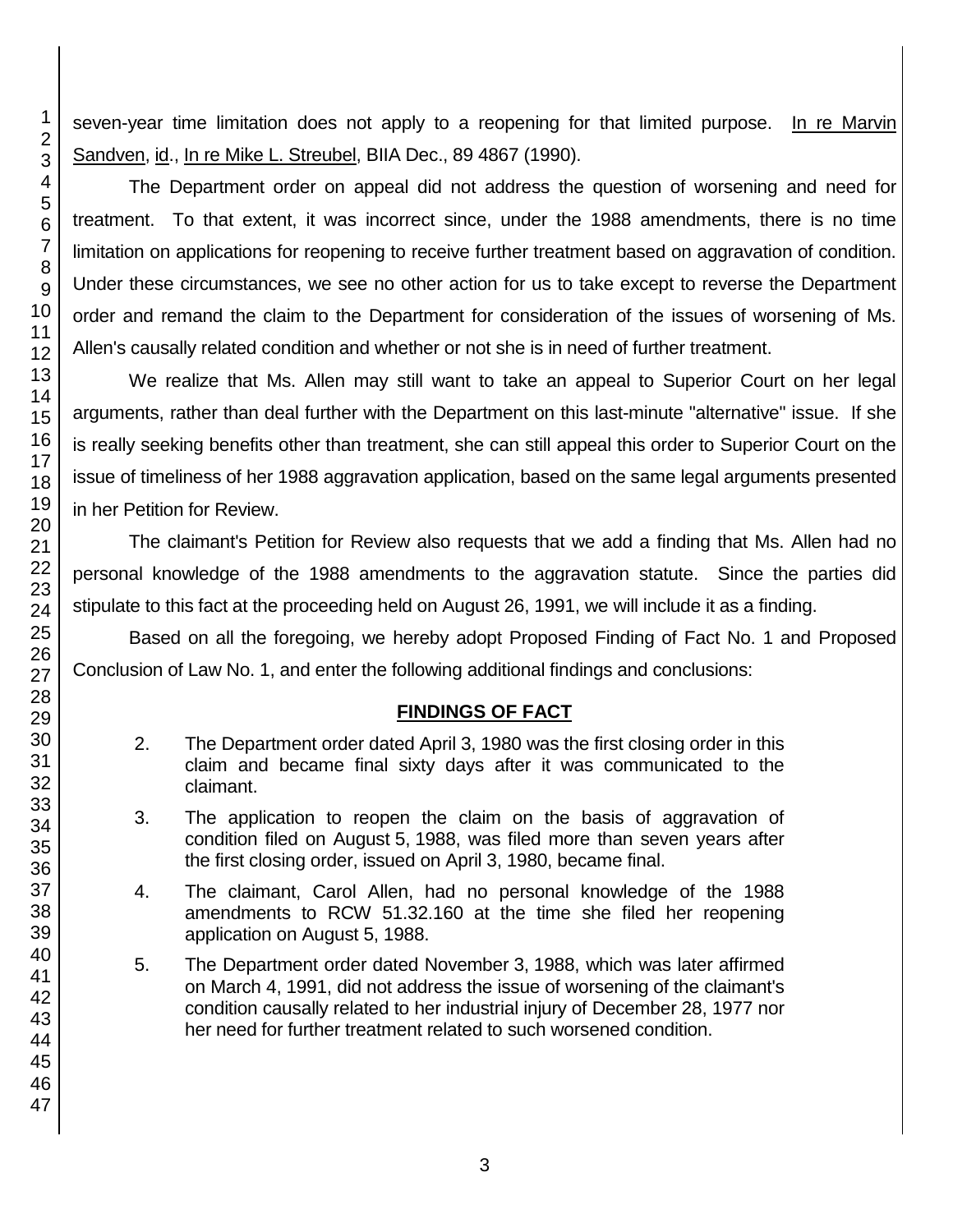seven-year time limitation does not apply to a reopening for that limited purpose. In re Marvin Sandven, id., In re Mike L. Streubel, BIIA Dec., 89 4867 (1990).

The Department order on appeal did not address the question of worsening and need for treatment. To that extent, it was incorrect since, under the 1988 amendments, there is no time limitation on applications for reopening to receive further treatment based on aggravation of condition. Under these circumstances, we see no other action for us to take except to reverse the Department order and remand the claim to the Department for consideration of the issues of worsening of Ms. Allen's causally related condition and whether or not she is in need of further treatment.

We realize that Ms. Allen may still want to take an appeal to Superior Court on her legal arguments, rather than deal further with the Department on this last-minute "alternative" issue. If she is really seeking benefits other than treatment, she can still appeal this order to Superior Court on the issue of timeliness of her 1988 aggravation application, based on the same legal arguments presented in her Petition for Review.

The claimant's Petition for Review also requests that we add a finding that Ms. Allen had no personal knowledge of the 1988 amendments to the aggravation statute. Since the parties did stipulate to this fact at the proceeding held on August 26, 1991, we will include it as a finding.

Based on all the foregoing, we hereby adopt Proposed Finding of Fact No. 1 and Proposed Conclusion of Law No. 1, and enter the following additional findings and conclusions:

# **FINDINGS OF FACT**

- 2. The Department order dated April 3, 1980 was the first closing order in this claim and became final sixty days after it was communicated to the claimant.
- 3. The application to reopen the claim on the basis of aggravation of condition filed on August 5, 1988, was filed more than seven years after the first closing order, issued on April 3, 1980, became final.
- 4. The claimant, Carol Allen, had no personal knowledge of the 1988 amendments to RCW 51.32.160 at the time she filed her reopening application on August 5, 1988.
- 5. The Department order dated November 3, 1988, which was later affirmed on March 4, 1991, did not address the issue of worsening of the claimant's condition causally related to her industrial injury of December 28, 1977 nor her need for further treatment related to such worsened condition.